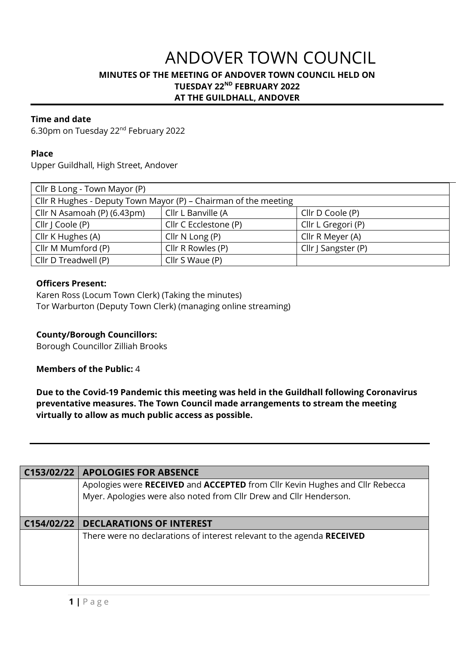# ANDOVER TOWN COUNCIL **MINUTES OF THE MEETING OF ANDOVER TOWN COUNCIL HELD ON TUESDAY 22ND FEBRUARY 2022 AT THE GUILDHALL, ANDOVER**

## **Time and date**

6.30pm on Tuesday 22nd February 2022

#### **Place**

Upper Guildhall, High Street, Andover

| Cllr B Long - Town Mayor (P)                                    |                       |                     |  |  |
|-----------------------------------------------------------------|-----------------------|---------------------|--|--|
| Cllr R Hughes - Deputy Town Mayor (P) - Chairman of the meeting |                       |                     |  |  |
| Cllr N Asamoah (P) (6.43pm)                                     | Cllr L Banville (A    | Cllr D Coole (P)    |  |  |
| Cllr   Coole (P)                                                | Cllr C Ecclestone (P) | Cllr L Gregori (P)  |  |  |
| Cllr K Hughes (A)                                               | Cllr $N$ Long $(P)$   | Cllr R Meyer (A)    |  |  |
| Cllr M Mumford (P)                                              | Cllr R Rowles (P)     | Cllr   Sangster (P) |  |  |
| Cllr D Treadwell (P)                                            | Cllr S Waue (P)       |                     |  |  |

### **Officers Present:**

Karen Ross (Locum Town Clerk) (Taking the minutes) Tor Warburton (Deputy Town Clerk) (managing online streaming)

### **County/Borough Councillors:**

Borough Councillor Zilliah Brooks

### **Members of the Public:** 4

**Due to the Covid-19 Pandemic this meeting was held in the Guildhall following Coronavirus preventative measures. The Town Council made arrangements to stream the meeting virtually to allow as much public access as possible.** 

| C153/02/22 | <b>APOLOGIES FOR ABSENCE</b>                                                  |
|------------|-------------------------------------------------------------------------------|
|            | Apologies were RECEIVED and ACCEPTED from Cllr Kevin Hughes and Cllr Rebecca  |
|            | Myer. Apologies were also noted from Cllr Drew and Cllr Henderson.            |
|            |                                                                               |
| C154/02/22 | <b>DECLARATIONS OF INTEREST</b>                                               |
|            | There were no declarations of interest relevant to the agenda <b>RECEIVED</b> |
|            |                                                                               |
|            |                                                                               |
|            |                                                                               |
|            |                                                                               |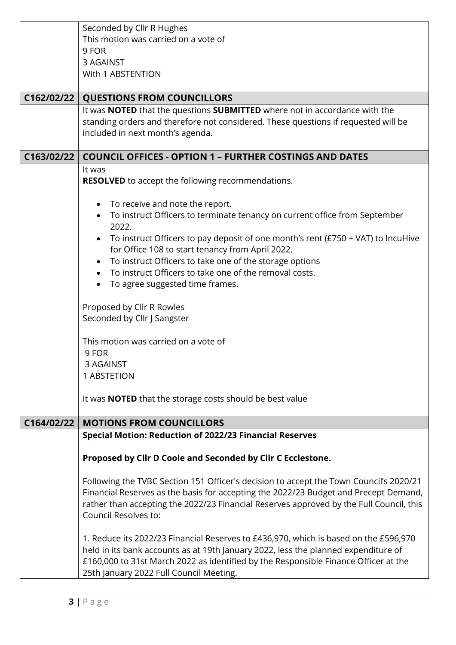|            | Seconded by Cllr R Hughes                                                                |  |  |
|------------|------------------------------------------------------------------------------------------|--|--|
|            | This motion was carried on a vote of                                                     |  |  |
|            | 9 FOR                                                                                    |  |  |
|            |                                                                                          |  |  |
|            | 3 AGAINST                                                                                |  |  |
|            | With 1 ABSTENTION                                                                        |  |  |
|            |                                                                                          |  |  |
| C162/02/22 | <b>QUESTIONS FROM COUNCILLORS</b>                                                        |  |  |
|            | It was <b>NOTED</b> that the questions <b>SUBMITTED</b> where not in accordance with the |  |  |
|            | standing orders and therefore not considered. These questions if requested will be       |  |  |
|            | included in next month's agenda.                                                         |  |  |
|            |                                                                                          |  |  |
| C163/02/22 | <b>COUNCIL OFFICES - OPTION 1 - FURTHER COSTINGS AND DATES</b>                           |  |  |
|            | It was                                                                                   |  |  |
|            | <b>RESOLVED</b> to accept the following recommendations.                                 |  |  |
|            |                                                                                          |  |  |
|            |                                                                                          |  |  |
|            | To receive and note the report.                                                          |  |  |
|            | To instruct Officers to terminate tenancy on current office from September               |  |  |
|            | 2022.                                                                                    |  |  |
|            | To instruct Officers to pay deposit of one month's rent ( $£750 + VA$ T) to IncuHive     |  |  |
|            | for Office 108 to start tenancy from April 2022.                                         |  |  |
|            | To instruct Officers to take one of the storage options                                  |  |  |
|            | To instruct Officers to take one of the removal costs.                                   |  |  |
|            | To agree suggested time frames.                                                          |  |  |
|            |                                                                                          |  |  |
|            | Proposed by Cllr R Rowles                                                                |  |  |
|            | Seconded by Cllr J Sangster                                                              |  |  |
|            |                                                                                          |  |  |
|            |                                                                                          |  |  |
|            | This motion was carried on a vote of                                                     |  |  |
|            | 9 FOR                                                                                    |  |  |
|            | 3 AGAINST                                                                                |  |  |
|            | 1 ABSTETION                                                                              |  |  |
|            |                                                                                          |  |  |
|            | It was <b>NOTED</b> that the storage costs should be best value                          |  |  |
|            |                                                                                          |  |  |
| C164/02/22 | <b>MOTIONS FROM COUNCILLORS</b>                                                          |  |  |
|            | <b>Special Motion: Reduction of 2022/23 Financial Reserves</b>                           |  |  |
|            |                                                                                          |  |  |
|            | Proposed by Cllr D Coole and Seconded by Cllr C Ecclestone.                              |  |  |
|            |                                                                                          |  |  |
|            | Following the TVBC Section 151 Officer's decision to accept the Town Council's 2020/21   |  |  |
|            | Financial Reserves as the basis for accepting the 2022/23 Budget and Precept Demand,     |  |  |
|            | rather than accepting the 2022/23 Financial Reserves approved by the Full Council, this  |  |  |
|            |                                                                                          |  |  |
|            | Council Resolves to:                                                                     |  |  |
|            |                                                                                          |  |  |
|            | 1. Reduce its 2022/23 Financial Reserves to £436,970, which is based on the £596,970     |  |  |
|            | held in its bank accounts as at 19th January 2022, less the planned expenditure of       |  |  |
|            | £160,000 to 31st March 2022 as identified by the Responsible Finance Officer at the      |  |  |
|            | 25th January 2022 Full Council Meeting.                                                  |  |  |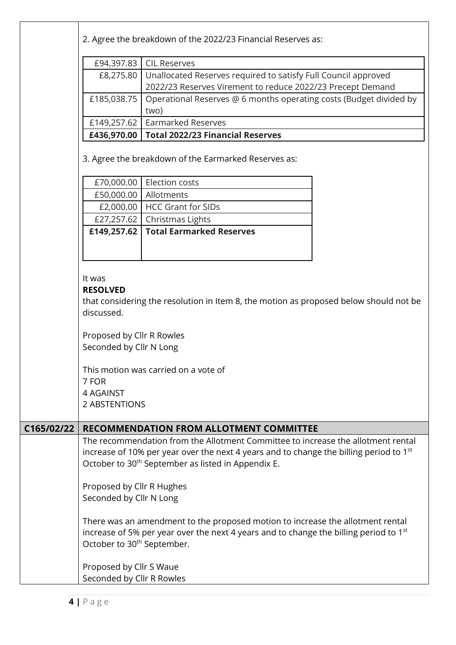|            |                                                      | 2. Agree the breakdown of the 2022/23 Financial Reserves as:                                       |  |
|------------|------------------------------------------------------|----------------------------------------------------------------------------------------------------|--|
|            | £94,397.83                                           | <b>CIL Reserves</b>                                                                                |  |
|            | £8,275.80                                            | Unallocated Reserves required to satisfy Full Council approved                                     |  |
|            |                                                      | 2022/23 Reserves Virement to reduce 2022/23 Precept Demand                                         |  |
|            | £185,038.75                                          | Operational Reserves @ 6 months operating costs (Budget divided by<br>two)                         |  |
|            |                                                      | £149,257.62   Earmarked Reserves                                                                   |  |
|            |                                                      | £436,970.00   Total 2022/23 Financial Reserves                                                     |  |
|            | 3. Agree the breakdown of the Earmarked Reserves as: |                                                                                                    |  |
|            | £70,000.00                                           | Election costs                                                                                     |  |
|            | £50,000.00                                           | Allotments                                                                                         |  |
|            |                                                      | £2,000.00   HCC Grant for SIDs                                                                     |  |
|            |                                                      | £27,257.62   Christmas Lights                                                                      |  |
|            |                                                      | £149,257.62   Total Earmarked Reserves                                                             |  |
|            |                                                      |                                                                                                    |  |
|            |                                                      |                                                                                                    |  |
|            | It was<br><b>RESOLVED</b>                            |                                                                                                    |  |
|            | discussed.                                           | that considering the resolution in Item 8, the motion as proposed below should not be              |  |
|            | Proposed by Cllr R Rowles<br>Seconded by Cllr N Long |                                                                                                    |  |
|            |                                                      | This motion was carried on a vote of                                                               |  |
|            | 7 FOR                                                |                                                                                                    |  |
|            | 4 AGAINST<br>2 ABSTENTIONS                           |                                                                                                    |  |
|            |                                                      |                                                                                                    |  |
| C165/02/22 |                                                      | <b>RECOMMENDATION FROM ALLOTMENT COMMITTEE</b>                                                     |  |
|            |                                                      | The recommendation from the Allotment Committee to increase the allotment rental                   |  |
|            |                                                      | increase of 10% per year over the next 4 years and to change the billing period to 1 <sup>st</sup> |  |
|            |                                                      | October to 30 <sup>th</sup> September as listed in Appendix E.                                     |  |
|            | Proposed by Cllr R Hughes                            |                                                                                                    |  |
|            | Seconded by Cllr N Long                              |                                                                                                    |  |
|            |                                                      |                                                                                                    |  |
|            |                                                      | There was an amendment to the proposed motion to increase the allotment rental                     |  |
|            |                                                      | increase of 5% per year over the next 4 years and to change the billing period to 1 <sup>st</sup>  |  |
|            | October to 30 <sup>th</sup> September.               |                                                                                                    |  |
|            | Proposed by Cllr S Waue                              |                                                                                                    |  |
|            | Seconded by Cllr R Rowles                            |                                                                                                    |  |
|            |                                                      |                                                                                                    |  |